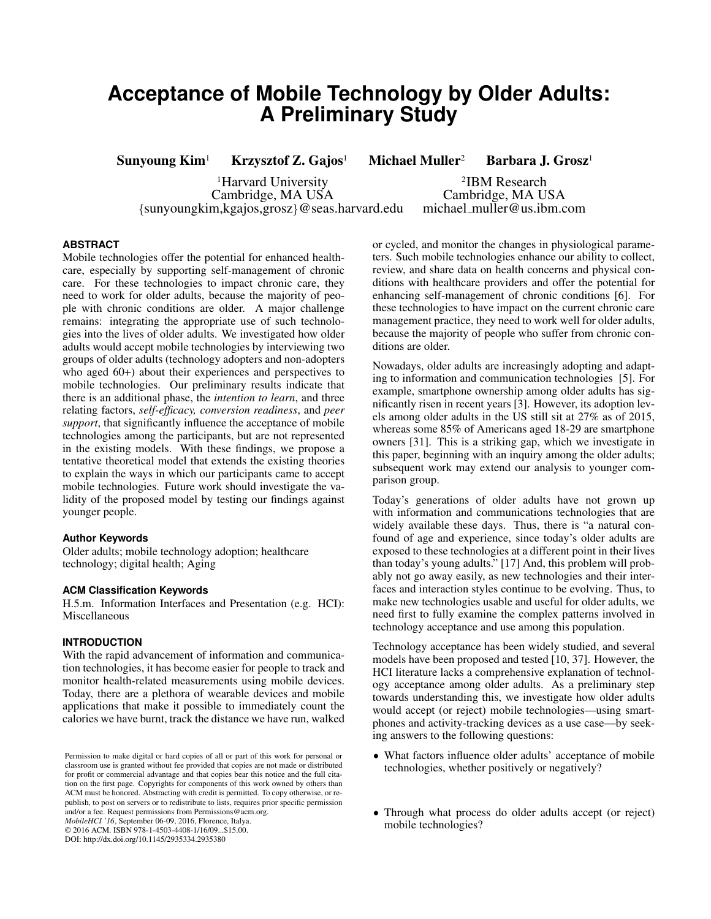# **Acceptance of Mobile Technology by Older Adults: A Preliminary Study**

<sup>1</sup>Harvard University Cambridge, MA USA {sunyoungkim,kgajos,grosz}@seas.harvard.edu

Sunyoung  $\text{Kim}^1$  Krzysztof Z. Gajos<sup>1</sup> Michael Muller<sup>2</sup> Barbara J. Grosz<sup>1</sup>

2 IBM Research Cambridge, MA USA michael muller@us.ibm.com

## **ABSTRACT**

Mobile technologies offer the potential for enhanced healthcare, especially by supporting self-management of chronic care. For these technologies to impact chronic care, they need to work for older adults, because the majority of people with chronic conditions are older. A major challenge remains: integrating the appropriate use of such technologies into the lives of older adults. We investigated how older adults would accept mobile technologies by interviewing two groups of older adults (technology adopters and non-adopters who aged 60+) about their experiences and perspectives to mobile technologies. Our preliminary results indicate that there is an additional phase, the *intention to learn*, and three relating factors, *self-efficacy, conversion readiness*, and *peer support*, that significantly influence the acceptance of mobile technologies among the participants, but are not represented in the existing models. With these findings, we propose a tentative theoretical model that extends the existing theories to explain the ways in which our participants came to accept mobile technologies. Future work should investigate the validity of the proposed model by testing our findings against younger people.

#### **Author Keywords**

Older adults; mobile technology adoption; healthcare technology; digital health; Aging

## **ACM Classification Keywords**

H.5.m. Information Interfaces and Presentation (e.g. HCI): Miscellaneous

#### **INTRODUCTION**

With the rapid advancement of information and communication technologies, it has become easier for people to track and monitor health-related measurements using mobile devices. Today, there are a plethora of wearable devices and mobile applications that make it possible to immediately count the calories we have burnt, track the distance we have run, walked

© 2016 ACM. ISBN 978-1-4503-4408-1/16/09...\$15.00.

DOI: http://dx.doi.org/10.1145/2935334.2935380

or cycled, and monitor the changes in physiological parameters. Such mobile technologies enhance our ability to collect, review, and share data on health concerns and physical conditions with healthcare providers and offer the potential for enhancing self-management of chronic conditions [\[6\]](#page-9-0). For these technologies to have impact on the current chronic care management practice, they need to work well for older adults, because the majority of people who suffer from chronic conditions are older.

Nowadays, older adults are increasingly adopting and adapting to information and communication technologies [\[5\]](#page-9-1). For example, smartphone ownership among older adults has significantly risen in recent years [\[3\]](#page-9-2). However, its adoption levels among older adults in the US still sit at 27% as of 2015, whereas some 85% of Americans aged 18-29 are smartphone owners [\[31\]](#page-10-0). This is a striking gap, which we investigate in this paper, beginning with an inquiry among the older adults; subsequent work may extend our analysis to younger comparison group.

Today's generations of older adults have not grown up with information and communications technologies that are widely available these days. Thus, there is "a natural confound of age and experience, since today's older adults are exposed to these technologies at a different point in their lives than today's young adults." [\[17\]](#page-9-3) And, this problem will probably not go away easily, as new technologies and their interfaces and interaction styles continue to be evolving. Thus, to make new technologies usable and useful for older adults, we need first to fully examine the complex patterns involved in technology acceptance and use among this population.

Technology acceptance has been widely studied, and several models have been proposed and tested [\[10,](#page-9-4) [37\]](#page-10-1). However, the HCI literature lacks a comprehensive explanation of technology acceptance among older adults. As a preliminary step towards understanding this, we investigate how older adults would accept (or reject) mobile technologies—using smartphones and activity-tracking devices as a use case—by seeking answers to the following questions:

- What factors influence older adults' acceptance of mobile technologies, whether positively or negatively?
- Through what process do older adults accept (or reject) mobile technologies?

Permission to make digital or hard copies of all or part of this work for personal or classroom use is granted without fee provided that copies are not made or distributed for profit or commercial advantage and that copies bear this notice and the full citation on the first page. Copyrights for components of this work owned by others than ACM must be honored. Abstracting with credit is permitted. To copy otherwise, or republish, to post on servers or to redistribute to lists, requires prior specific permission and/or a fee. Request permissions from Permissions@acm.org. *MobileHCI '16*, September 06-09, 2016, Florence, Italya.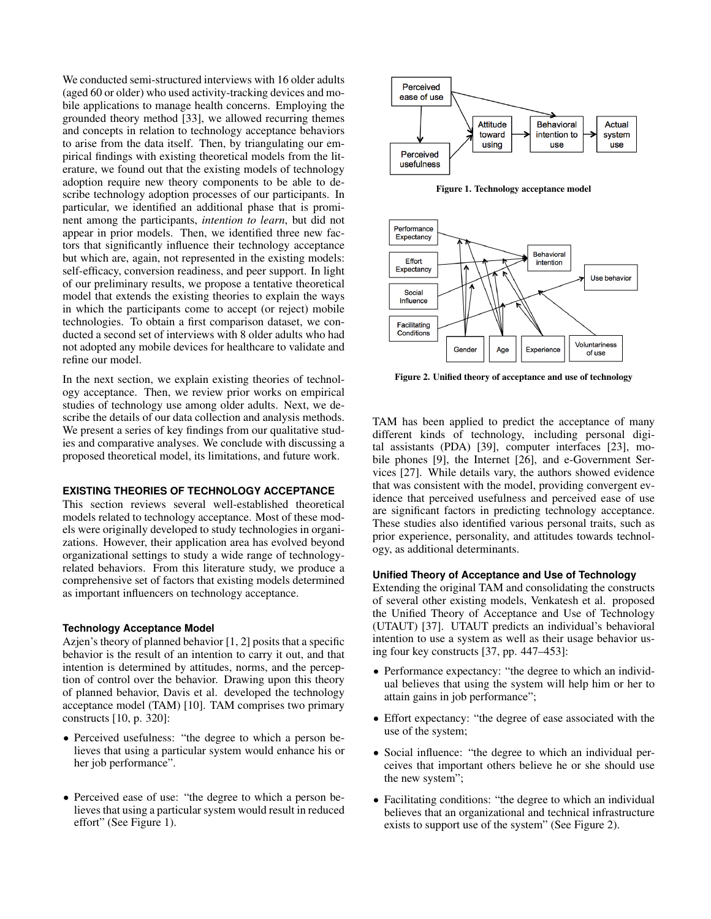We conducted semi-structured interviews with 16 older adults (aged 60 or older) who used activity-tracking devices and mobile applications to manage health concerns. Employing the grounded theory method [\[33\]](#page-10-2), we allowed recurring themes and concepts in relation to technology acceptance behaviors to arise from the data itself. Then, by triangulating our empirical findings with existing theoretical models from the literature, we found out that the existing models of technology adoption require new theory components to be able to describe technology adoption processes of our participants. In particular, we identified an additional phase that is prominent among the participants, *intention to learn*, but did not appear in prior models. Then, we identified three new factors that significantly influence their technology acceptance but which are, again, not represented in the existing models: self-efficacy, conversion readiness, and peer support. In light of our preliminary results, we propose a tentative theoretical model that extends the existing theories to explain the ways in which the participants come to accept (or reject) mobile technologies. To obtain a first comparison dataset, we conducted a second set of interviews with 8 older adults who had not adopted any mobile devices for healthcare to validate and refine our model.

In the next section, we explain existing theories of technology acceptance. Then, we review prior works on empirical studies of technology use among older adults. Next, we describe the details of our data collection and analysis methods. We present a series of key findings from our qualitative studies and comparative analyses. We conclude with discussing a proposed theoretical model, its limitations, and future work.

# **EXISTING THEORIES OF TECHNOLOGY ACCEPTANCE**

This section reviews several well-established theoretical models related to technology acceptance. Most of these models were originally developed to study technologies in organizations. However, their application area has evolved beyond organizational settings to study a wide range of technologyrelated behaviors. From this literature study, we produce a comprehensive set of factors that existing models determined as important influencers on technology acceptance.

#### **Technology Acceptance Model**

Azjen's theory of planned behavior [\[1,](#page-8-0) [2\]](#page-9-5) posits that a specific behavior is the result of an intention to carry it out, and that intention is determined by attitudes, norms, and the perception of control over the behavior. Drawing upon this theory of planned behavior, Davis et al. developed the technology acceptance model (TAM) [\[10\]](#page-9-4). TAM comprises two primary constructs [\[10,](#page-9-4) p. 320]:

- Perceived usefulness: "the degree to which a person believes that using a particular system would enhance his or her job performance".
- Perceived ease of use: "the degree to which a person believes that using a particular system would result in reduced effort" (See Figure [1\)](#page-1-0).



<span id="page-1-0"></span>Figure 1. Technology acceptance model



<span id="page-1-1"></span>Figure 2. Unified theory of acceptance and use of technology

TAM has been applied to predict the acceptance of many different kinds of technology, including personal digital assistants (PDA) [\[39\]](#page-10-3), computer interfaces [\[23\]](#page-9-6), mobile phones [\[9\]](#page-9-7), the Internet [\[26\]](#page-9-8), and e-Government Services [\[27\]](#page-9-9). While details vary, the authors showed evidence that was consistent with the model, providing convergent evidence that perceived usefulness and perceived ease of use are significant factors in predicting technology acceptance. These studies also identified various personal traits, such as prior experience, personality, and attitudes towards technology, as additional determinants.

#### **Unified Theory of Acceptance and Use of Technology**

Extending the original TAM and consolidating the constructs of several other existing models, Venkatesh et al. proposed the Unified Theory of Acceptance and Use of Technology (UTAUT) [\[37\]](#page-10-1). UTAUT predicts an individual's behavioral intention to use a system as well as their usage behavior using four key constructs [\[37,](#page-10-1) pp. 447–453]:

- Performance expectancy: "the degree to which an individual believes that using the system will help him or her to attain gains in job performance";
- Effort expectancy: "the degree of ease associated with the use of the system;
- Social influence: "the degree to which an individual perceives that important others believe he or she should use the new system";
- Facilitating conditions: "the degree to which an individual believes that an organizational and technical infrastructure exists to support use of the system" (See Figure [2\)](#page-1-1).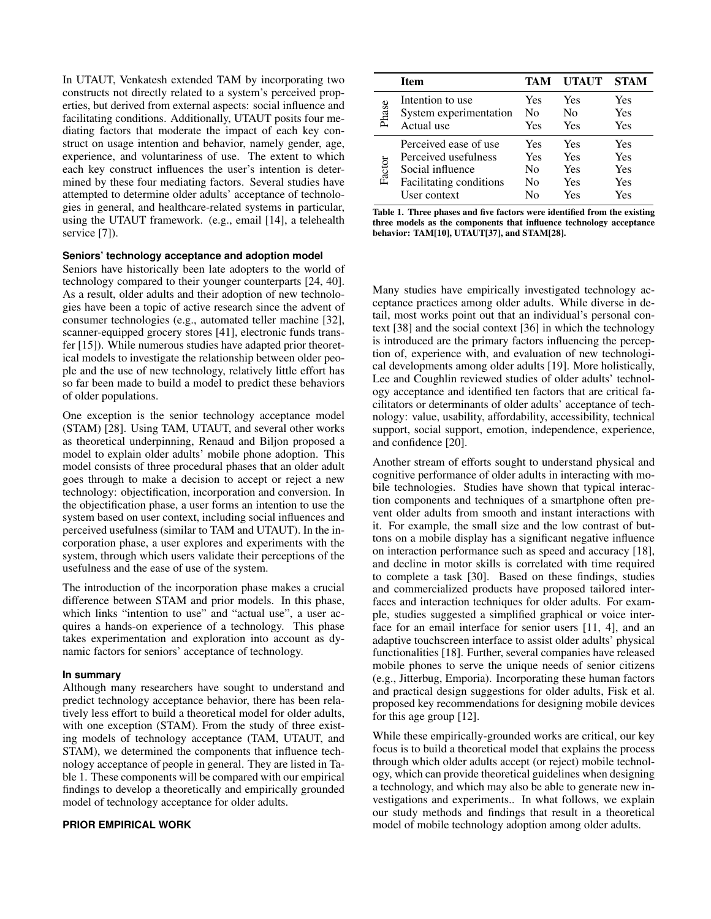In UTAUT, Venkatesh extended TAM by incorporating two constructs not directly related to a system's perceived properties, but derived from external aspects: social influence and facilitating conditions. Additionally, UTAUT posits four mediating factors that moderate the impact of each key construct on usage intention and behavior, namely gender, age, experience, and voluntariness of use. The extent to which each key construct influences the user's intention is determined by these four mediating factors. Several studies have attempted to determine older adults' acceptance of technologies in general, and healthcare-related systems in particular, using the UTAUT framework. (e.g., email [\[14\]](#page-9-10), a telehealth service [\[7\]](#page-9-11)).

#### **Seniors' technology acceptance and adoption model**

Seniors have historically been late adopters to the world of technology compared to their younger counterparts [\[24,](#page-9-12) [40\]](#page-10-4). As a result, older adults and their adoption of new technologies have been a topic of active research since the advent of consumer technologies (e.g., automated teller machine [\[32\]](#page-10-5), scanner-equipped grocery stores [\[41\]](#page-10-6), electronic funds transfer [\[15\]](#page-9-13)). While numerous studies have adapted prior theoretical models to investigate the relationship between older people and the use of new technology, relatively little effort has so far been made to build a model to predict these behaviors of older populations.

One exception is the senior technology acceptance model (STAM) [\[28\]](#page-10-7). Using TAM, UTAUT, and several other works as theoretical underpinning, Renaud and Biljon proposed a model to explain older adults' mobile phone adoption. This model consists of three procedural phases that an older adult goes through to make a decision to accept or reject a new technology: objectification, incorporation and conversion. In the objectification phase, a user forms an intention to use the system based on user context, including social influences and perceived usefulness (similar to TAM and UTAUT). In the incorporation phase, a user explores and experiments with the system, through which users validate their perceptions of the usefulness and the ease of use of the system.

The introduction of the incorporation phase makes a crucial difference between STAM and prior models. In this phase, which links "intention to use" and "actual use", a user acquires a hands-on experience of a technology. This phase takes experimentation and exploration into account as dynamic factors for seniors' acceptance of technology.

#### **In summary**

Although many researchers have sought to understand and predict technology acceptance behavior, there has been relatively less effort to build a theoretical model for older adults, with one exception (STAM). From the study of three existing models of technology acceptance (TAM, UTAUT, and STAM), we determined the components that influence technology acceptance of people in general. They are listed in Table [1.](#page-2-0) These components will be compared with our empirical findings to develop a theoretically and empirically grounded model of technology acceptance for older adults.

# **PRIOR EMPIRICAL WORK**

|        | <b>Item</b>             | TAM | <b>UTAUT</b>   | <b>STAM</b> |
|--------|-------------------------|-----|----------------|-------------|
| Phase  | Intention to use        | Yes | Yes            | Yes         |
|        | System experimentation  | No  | N <sub>0</sub> | Yes         |
|        | Actual use              | Yes | Yes            | Yes         |
| Factor | Perceived ease of use   | Yes | Yes            | Yes         |
|        | Perceived usefulness    | Yes | Yes            | Yes         |
|        | Social influence        | Nο  | Yes            | Yes         |
|        | Facilitating conditions | No  | Yes            | Yes         |
|        | User context            | N٥  | Yes            | Yes         |

<span id="page-2-0"></span>Table 1. Three phases and five factors were identified from the existing three models as the components that influence technology acceptance behavior: TAM[\[10\]](#page-9-4), UTAUT[\[37\]](#page-10-1), and STAM[\[28\]](#page-10-7).

Many studies have empirically investigated technology acceptance practices among older adults. While diverse in detail, most works point out that an individual's personal context [\[38\]](#page-10-8) and the social context [\[36\]](#page-10-9) in which the technology is introduced are the primary factors influencing the perception of, experience with, and evaluation of new technological developments among older adults [\[19\]](#page-9-14). More holistically, Lee and Coughlin reviewed studies of older adults' technology acceptance and identified ten factors that are critical facilitators or determinants of older adults' acceptance of technology: value, usability, affordability, accessibility, technical support, social support, emotion, independence, experience, and confidence [\[20\]](#page-9-15).

Another stream of efforts sought to understand physical and cognitive performance of older adults in interacting with mobile technologies. Studies have shown that typical interaction components and techniques of a smartphone often prevent older adults from smooth and instant interactions with it. For example, the small size and the low contrast of buttons on a mobile display has a significant negative influence on interaction performance such as speed and accuracy [\[18\]](#page-9-16), and decline in motor skills is correlated with time required to complete a task [\[30\]](#page-10-10). Based on these findings, studies and commercialized products have proposed tailored interfaces and interaction techniques for older adults. For example, studies suggested a simplified graphical or voice interface for an email interface for senior users [\[11,](#page-9-17) [4\]](#page-9-18), and an adaptive touchscreen interface to assist older adults' physical functionalities [\[18\]](#page-9-16). Further, several companies have released mobile phones to serve the unique needs of senior citizens (e.g., Jitterbug, Emporia). Incorporating these human factors and practical design suggestions for older adults, Fisk et al. proposed key recommendations for designing mobile devices for this age group [\[12\]](#page-9-19).

While these empirically-grounded works are critical, our key focus is to build a theoretical model that explains the process through which older adults accept (or reject) mobile technology, which can provide theoretical guidelines when designing a technology, and which may also be able to generate new investigations and experiments.. In what follows, we explain our study methods and findings that result in a theoretical model of mobile technology adoption among older adults.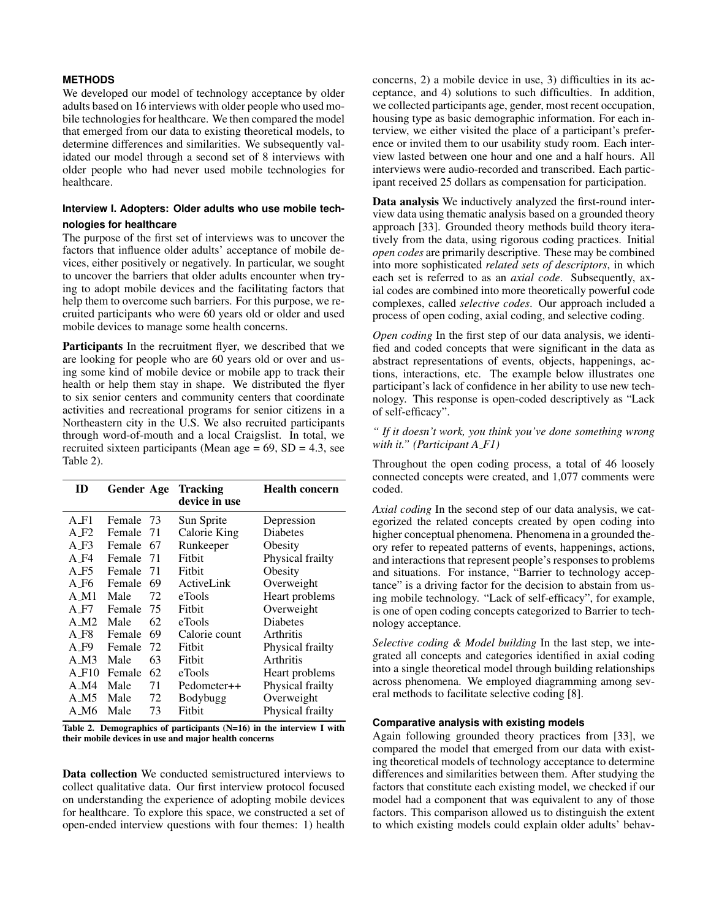## **METHODS**

We developed our model of technology acceptance by older adults based on 16 interviews with older people who used mobile technologies for healthcare. We then compared the model that emerged from our data to existing theoretical models, to determine differences and similarities. We subsequently validated our model through a second set of 8 interviews with older people who had never used mobile technologies for healthcare.

# **Interview I. Adopters: Older adults who use mobile technologies for healthcare**

The purpose of the first set of interviews was to uncover the factors that influence older adults' acceptance of mobile devices, either positively or negatively. In particular, we sought to uncover the barriers that older adults encounter when trying to adopt mobile devices and the facilitating factors that help them to overcome such barriers. For this purpose, we recruited participants who were 60 years old or older and used mobile devices to manage some health concerns.

Participants In the recruitment flyer, we described that we are looking for people who are 60 years old or over and using some kind of mobile device or mobile app to track their health or help them stay in shape. We distributed the flyer to six senior centers and community centers that coordinate activities and recreational programs for senior citizens in a Northeastern city in the U.S. We also recruited participants through word-of-mouth and a local Craigslist. In total, we recruited sixteen participants (Mean age  $= 69$ , SD  $= 4.3$ , see Table [2\)](#page-3-0).

| ID                 | Gender Age |     | <b>Tracking</b> | <b>Health concern</b> |
|--------------------|------------|-----|-----------------|-----------------------|
|                    |            |     | device in use   |                       |
| A F1               | Female     | -73 | Sun Sprite      | Depression            |
| $A$ F <sub>2</sub> | Female     | 71  | Calorie King    | <b>Diabetes</b>       |
| $A_F3$             | Female     | 67  | Runkeeper       | Obesity               |
| $A_F4$             | Female     | 71  | Fithit          | Physical frailty      |
| A F5               | Female     | 71  | Fithit          | Obesity               |
| A F6               | Female     | 69  | ActiveLink      | Overweight            |
| $A_{M1}$           | Male       | 72  | eTools          | Heart problems        |
| $A_F7$             | Female     | 75  | Fithit          | Overweight            |
| $A_M2$             | Male       | 62  | eTools          | <b>Diabetes</b>       |
| A F8               | Female     | 69  | Calorie count   | Arthritis             |
| A F9               | Female     | 72  | Fithit          | Physical frailty      |
| $A$ M <sub>3</sub> | Male       | 63  | Fithit          | Arthritis             |
| $A_F10$            | Female     | 62  | eTools          | Heart problems        |
| A M4               | Male       | 71  | Pedometer++     | Physical frailty      |
| A_M5               | Male       | 72  | Bodybugg        | Overweight            |
| A M6               | Male       | 73  | Fithit          | Physical frailty      |

<span id="page-3-0"></span>Table 2. Demographics of participants (N=16) in the interview I with their mobile devices in use and major health concerns

Data collection We conducted semistructured interviews to collect qualitative data. Our first interview protocol focused on understanding the experience of adopting mobile devices for healthcare. To explore this space, we constructed a set of open-ended interview questions with four themes: 1) health

concerns, 2) a mobile device in use, 3) difficulties in its acceptance, and 4) solutions to such difficulties. In addition, we collected participants age, gender, most recent occupation, housing type as basic demographic information. For each interview, we either visited the place of a participant's preference or invited them to our usability study room. Each interview lasted between one hour and one and a half hours. All interviews were audio-recorded and transcribed. Each participant received 25 dollars as compensation for participation.

Data analysis We inductively analyzed the first-round interview data using thematic analysis based on a grounded theory approach [\[33\]](#page-10-2). Grounded theory methods build theory iteratively from the data, using rigorous coding practices. Initial *open codes* are primarily descriptive. These may be combined into more sophisticated *related sets of descriptors*, in which each set is referred to as an *axial code*. Subsequently, axial codes are combined into more theoretically powerful code complexes, called *selective codes*. Our approach included a process of open coding, axial coding, and selective coding.

*Open coding* In the first step of our data analysis, we identified and coded concepts that were significant in the data as abstract representations of events, objects, happenings, actions, interactions, etc. The example below illustrates one participant's lack of confidence in her ability to use new technology. This response is open-coded descriptively as "Lack of self-efficacy".

# *" If it doesn't work, you think you've done something wrong with it." (Participant A F1)*

Throughout the open coding process, a total of 46 loosely connected concepts were created, and 1,077 comments were coded.

*Axial coding* In the second step of our data analysis, we categorized the related concepts created by open coding into higher conceptual phenomena. Phenomena in a grounded theory refer to repeated patterns of events, happenings, actions, and interactions that represent people's responses to problems and situations. For instance, "Barrier to technology acceptance" is a driving factor for the decision to abstain from using mobile technology. "Lack of self-efficacy", for example, is one of open coding concepts categorized to Barrier to technology acceptance.

*Selective coding & Model building* In the last step, we integrated all concepts and categories identified in axial coding into a single theoretical model through building relationships across phenomena. We employed diagramming among several methods to facilitate selective coding [\[8\]](#page-9-20).

#### **Comparative analysis with existing models**

Again following grounded theory practices from [\[33\]](#page-10-2), we compared the model that emerged from our data with existing theoretical models of technology acceptance to determine differences and similarities between them. After studying the factors that constitute each existing model, we checked if our model had a component that was equivalent to any of those factors. This comparison allowed us to distinguish the extent to which existing models could explain older adults' behav-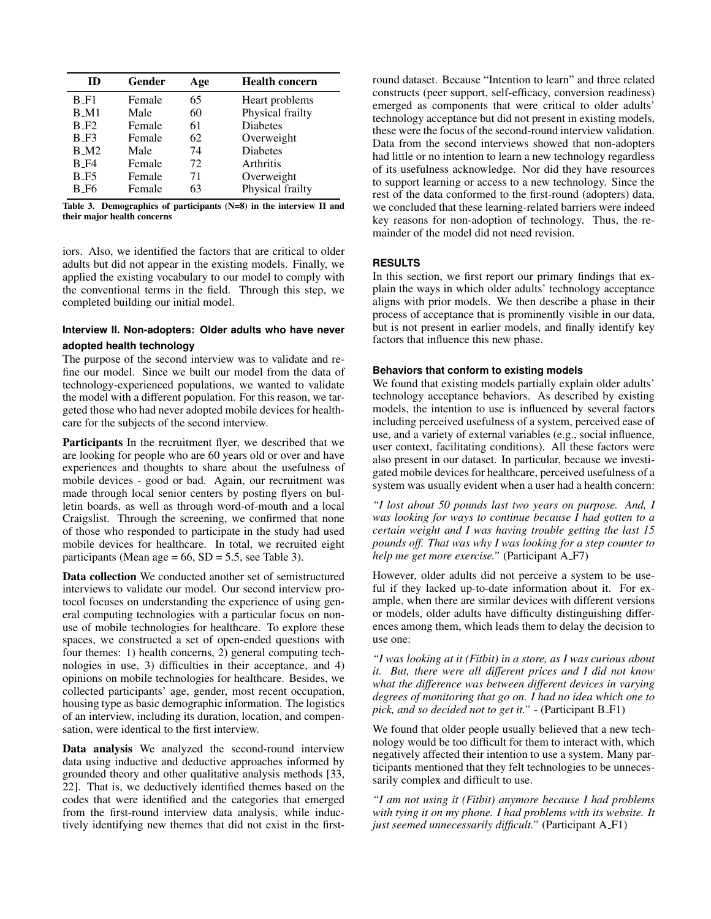| ID                      | Gender | Age | <b>Health concern</b> |
|-------------------------|--------|-----|-----------------------|
| $B_F1$                  | Female | 65  | Heart problems        |
| $B_{M1}$                | Male   | 60  | Physical frailty      |
| <b>B</b> F <sub>2</sub> | Female | 61  | <b>Diabetes</b>       |
| $B_F3$                  | Female | 62  | Overweight            |
| $B_M2$                  | Male   | 74  | <b>Diabetes</b>       |
| <b>B</b> F4             | Female | 72  | Arthritis             |
| <b>B</b> F <sub>5</sub> | Female | 71  | Overweight            |
| $B_F6$                  | Female | 63  | Physical frailty      |

<span id="page-4-0"></span>Table 3. Demographics of participants (N=8) in the interview II and their major health concerns

iors. Also, we identified the factors that are critical to older adults but did not appear in the existing models. Finally, we applied the existing vocabulary to our model to comply with the conventional terms in the field. Through this step, we completed building our initial model.

# **Interview II. Non-adopters: Older adults who have never adopted health technology**

The purpose of the second interview was to validate and refine our model. Since we built our model from the data of technology-experienced populations, we wanted to validate the model with a different population. For this reason, we targeted those who had never adopted mobile devices for healthcare for the subjects of the second interview.

Participants In the recruitment flyer, we described that we are looking for people who are 60 years old or over and have experiences and thoughts to share about the usefulness of mobile devices - good or bad. Again, our recruitment was made through local senior centers by posting flyers on bulletin boards, as well as through word-of-mouth and a local Craigslist. Through the screening, we confirmed that none of those who responded to participate in the study had used mobile devices for healthcare. In total, we recruited eight participants (Mean age =  $66$ , SD =  $5.5$ , see Table [3\)](#page-4-0).

Data collection We conducted another set of semistructured interviews to validate our model. Our second interview protocol focuses on understanding the experience of using general computing technologies with a particular focus on nonuse of mobile technologies for healthcare. To explore these spaces, we constructed a set of open-ended questions with four themes: 1) health concerns, 2) general computing technologies in use, 3) difficulties in their acceptance, and 4) opinions on mobile technologies for healthcare. Besides, we collected participants' age, gender, most recent occupation, housing type as basic demographic information. The logistics of an interview, including its duration, location, and compensation, were identical to the first interview.

Data analysis We analyzed the second-round interview data using inductive and deductive approaches informed by grounded theory and other qualitative analysis methods [\[33,](#page-10-2) [22\]](#page-9-21). That is, we deductively identified themes based on the codes that were identified and the categories that emerged from the first-round interview data analysis, while inductively identifying new themes that did not exist in the firstround dataset. Because "Intention to learn" and three related constructs (peer support, self-efficacy, conversion readiness) emerged as components that were critical to older adults' technology acceptance but did not present in existing models, these were the focus of the second-round interview validation. Data from the second interviews showed that non-adopters had little or no intention to learn a new technology regardless of its usefulness acknowledge. Nor did they have resources to support learning or access to a new technology. Since the rest of the data conformed to the first-round (adopters) data, we concluded that these learning-related barriers were indeed key reasons for non-adoption of technology. Thus, the remainder of the model did not need revision.

# **RESULTS**

In this section, we first report our primary findings that explain the ways in which older adults' technology acceptance aligns with prior models. We then describe a phase in their process of acceptance that is prominently visible in our data, but is not present in earlier models, and finally identify key factors that influence this new phase.

# **Behaviors that conform to existing models**

We found that existing models partially explain older adults' technology acceptance behaviors. As described by existing models, the intention to use is influenced by several factors including perceived usefulness of a system, perceived ease of use, and a variety of external variables (e.g., social influence, user context, facilitating conditions). All these factors were also present in our dataset. In particular, because we investigated mobile devices for healthcare, perceived usefulness of a system was usually evident when a user had a health concern:

*"I lost about 50 pounds last two years on purpose. And, I was looking for ways to continue because I had gotten to a certain weight and I was having trouble getting the last 15 pounds off. That was why I was looking for a step counter to help me get more exercise.*" (Participant A\_F7)

However, older adults did not perceive a system to be useful if they lacked up-to-date information about it. For example, when there are similar devices with different versions or models, older adults have difficulty distinguishing differences among them, which leads them to delay the decision to use one:

*"I was looking at it (Fitbit) in a store, as I was curious about it. But, there were all different prices and I did not know what the difference was between different devices in varying degrees of monitoring that go on. I had no idea which one to pick, and so decided not to get it.*" - (Participant B\_F1)

We found that older people usually believed that a new technology would be too difficult for them to interact with, which negatively affected their intention to use a system. Many participants mentioned that they felt technologies to be unnecessarily complex and difficult to use.

*"I am not using it (Fitbit) anymore because I had problems with tying it on my phone. I had problems with its website. It* just seemed unnecessarily difficult." (Participant A\_F1)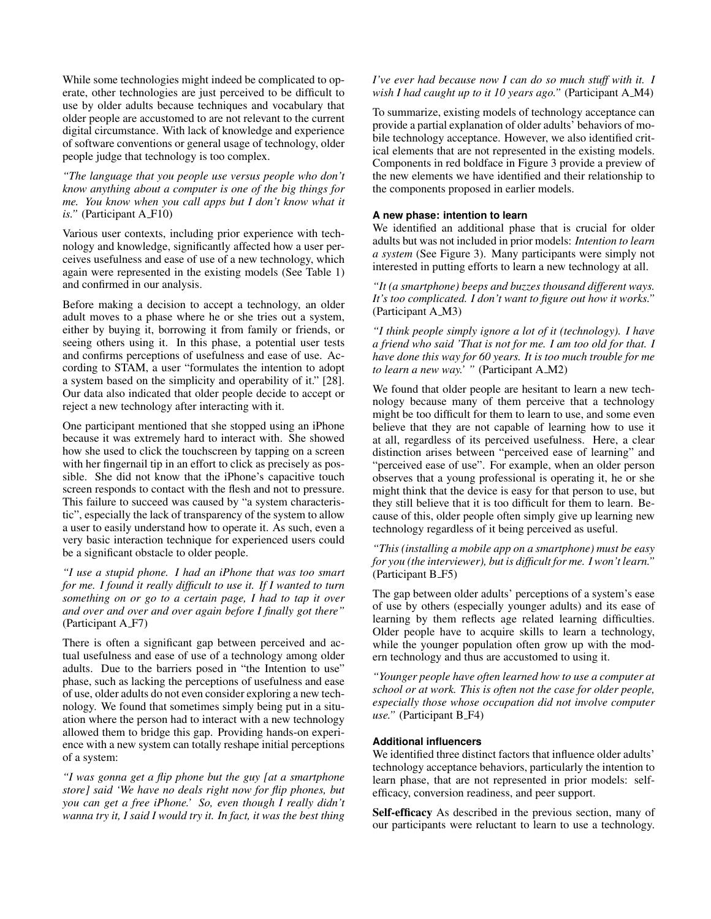While some technologies might indeed be complicated to operate, other technologies are just perceived to be difficult to use by older adults because techniques and vocabulary that older people are accustomed to are not relevant to the current digital circumstance. With lack of knowledge and experience of software conventions or general usage of technology, older people judge that technology is too complex.

*"The language that you people use versus people who don't know anything about a computer is one of the big things for me. You know when you call apps but I don't know what it is.*" (Participant A\_F10)

Various user contexts, including prior experience with technology and knowledge, significantly affected how a user perceives usefulness and ease of use of a new technology, which again were represented in the existing models (See Table [1\)](#page-2-0) and confirmed in our analysis.

Before making a decision to accept a technology, an older adult moves to a phase where he or she tries out a system, either by buying it, borrowing it from family or friends, or seeing others using it. In this phase, a potential user tests and confirms perceptions of usefulness and ease of use. According to STAM, a user "formulates the intention to adopt a system based on the simplicity and operability of it." [\[28\]](#page-10-7). Our data also indicated that older people decide to accept or reject a new technology after interacting with it.

One participant mentioned that she stopped using an iPhone because it was extremely hard to interact with. She showed how she used to click the touchscreen by tapping on a screen with her fingernail tip in an effort to click as precisely as possible. She did not know that the iPhone's capacitive touch screen responds to contact with the flesh and not to pressure. This failure to succeed was caused by "a system characteristic", especially the lack of transparency of the system to allow a user to easily understand how to operate it. As such, even a very basic interaction technique for experienced users could be a significant obstacle to older people.

*"I use a stupid phone. I had an iPhone that was too smart for me. I found it really difficult to use it. If I wanted to turn something on or go to a certain page, I had to tap it over and over and over and over again before I finally got there"* (Participant A<sub>-F7</sub>)

There is often a significant gap between perceived and actual usefulness and ease of use of a technology among older adults. Due to the barriers posed in "the Intention to use" phase, such as lacking the perceptions of usefulness and ease of use, older adults do not even consider exploring a new technology. We found that sometimes simply being put in a situation where the person had to interact with a new technology allowed them to bridge this gap. Providing hands-on experience with a new system can totally reshape initial perceptions of a system:

*"I was gonna get a flip phone but the guy [at a smartphone store] said 'We have no deals right now for flip phones, but you can get a free iPhone.' So, even though I really didn't wanna try it, I said I would try it. In fact, it was the best thing*

*I've ever had because now I can do so much stuff with it. I wish I had caught up to it 10 years ago."* (Participant A M4)

To summarize, existing models of technology acceptance can provide a partial explanation of older adults' behaviors of mobile technology acceptance. However, we also identified critical elements that are not represented in the existing models. Components in red boldface in Figure [3](#page-7-0) provide a preview of the new elements we have identified and their relationship to the components proposed in earlier models.

# **A new phase: intention to learn**

We identified an additional phase that is crucial for older adults but was not included in prior models: *Intention to learn a system* (See Figure [3\)](#page-7-0). Many participants were simply not interested in putting efforts to learn a new technology at all.

*"It (a smartphone) beeps and buzzes thousand different ways. It's too complicated. I don't want to figure out how it works."* (Participant A\_M3)

*"I think people simply ignore a lot of it (technology). I have a friend who said 'That is not for me. I am too old for that. I have done this way for 60 years. It is too much trouble for me to learn a new way.' "* (Participant A M2)

We found that older people are hesitant to learn a new technology because many of them perceive that a technology might be too difficult for them to learn to use, and some even believe that they are not capable of learning how to use it at all, regardless of its perceived usefulness. Here, a clear distinction arises between "perceived ease of learning" and "perceived ease of use". For example, when an older person observes that a young professional is operating it, he or she might think that the device is easy for that person to use, but they still believe that it is too difficult for them to learn. Because of this, older people often simply give up learning new technology regardless of it being perceived as useful.

# *"This (installing a mobile app on a smartphone) must be easy for you (the interviewer), but is difficult for me. I won't learn."* (Participant B F5)

The gap between older adults' perceptions of a system's ease of use by others (especially younger adults) and its ease of learning by them reflects age related learning difficulties. Older people have to acquire skills to learn a technology, while the younger population often grow up with the modern technology and thus are accustomed to using it.

*"Younger people have often learned how to use a computer at school or at work. This is often not the case for older people, especially those whose occupation did not involve computer use."* (Participant B F4)

# **Additional influencers**

We identified three distinct factors that influence older adults' technology acceptance behaviors, particularly the intention to learn phase, that are not represented in prior models: selfefficacy, conversion readiness, and peer support.

Self-efficacy As described in the previous section, many of our participants were reluctant to learn to use a technology.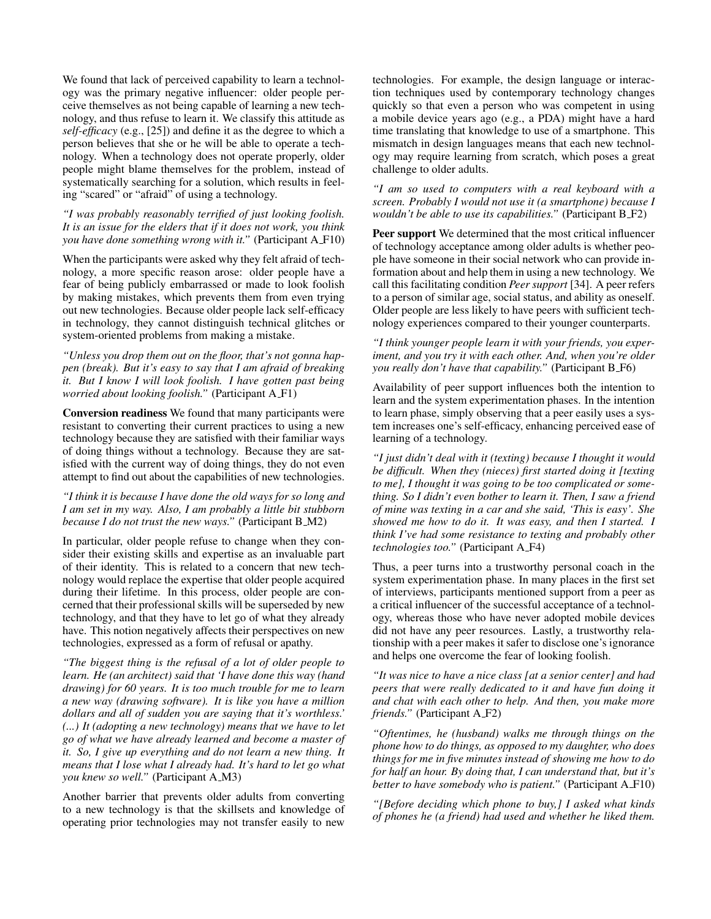We found that lack of perceived capability to learn a technology was the primary negative influencer: older people perceive themselves as not being capable of learning a new technology, and thus refuse to learn it. We classify this attitude as *self-efficacy* (e.g., [\[25\]](#page-9-22)) and define it as the degree to which a person believes that she or he will be able to operate a technology. When a technology does not operate properly, older people might blame themselves for the problem, instead of systematically searching for a solution, which results in feeling "scared" or "afraid" of using a technology.

*"I was probably reasonably terrified of just looking foolish. It is an issue for the elders that if it does not work, you think you have done something wrong with it.*" (Participant A\_F10)

When the participants were asked why they felt afraid of technology, a more specific reason arose: older people have a fear of being publicly embarrassed or made to look foolish by making mistakes, which prevents them from even trying out new technologies. Because older people lack self-efficacy in technology, they cannot distinguish technical glitches or system-oriented problems from making a mistake.

*"Unless you drop them out on the floor, that's not gonna happen (break). But it's easy to say that I am afraid of breaking it. But I know I will look foolish. I have gotten past being worried about looking foolish.*" (Participant A\_F1)

Conversion readiness We found that many participants were resistant to converting their current practices to using a new technology because they are satisfied with their familiar ways of doing things without a technology. Because they are satisfied with the current way of doing things, they do not even attempt to find out about the capabilities of new technologies.

*"I think it is because I have done the old ways for so long and I am set in my way. Also, I am probably a little bit stubborn because I do not trust the new ways."* (Participant B M2)

In particular, older people refuse to change when they consider their existing skills and expertise as an invaluable part of their identity. This is related to a concern that new technology would replace the expertise that older people acquired during their lifetime. In this process, older people are concerned that their professional skills will be superseded by new technology, and that they have to let go of what they already have. This notion negatively affects their perspectives on new technologies, expressed as a form of refusal or apathy.

*"The biggest thing is the refusal of a lot of older people to learn. He (an architect) said that 'I have done this way (hand drawing) for 60 years. It is too much trouble for me to learn a new way (drawing software). It is like you have a million dollars and all of sudden you are saying that it's worthless.' (...) It (adopting a new technology) means that we have to let go of what we have already learned and become a master of it. So, I give up everything and do not learn a new thing. It means that I lose what I already had. It's hard to let go what you knew so well.*" (Participant A\_M3)

Another barrier that prevents older adults from converting to a new technology is that the skillsets and knowledge of operating prior technologies may not transfer easily to new

technologies. For example, the design language or interaction techniques used by contemporary technology changes quickly so that even a person who was competent in using a mobile device years ago (e.g., a PDA) might have a hard time translating that knowledge to use of a smartphone. This mismatch in design languages means that each new technology may require learning from scratch, which poses a great challenge to older adults.

## *"I am so used to computers with a real keyboard with a screen. Probably I would not use it (a smartphone) because I wouldn't be able to use its capabilities."* (Participant B F2)

Peer support We determined that the most critical influencer of technology acceptance among older adults is whether people have someone in their social network who can provide information about and help them in using a new technology. We call this facilitating condition *Peer support* [\[34\]](#page-10-11). A peer refers to a person of similar age, social status, and ability as oneself. Older people are less likely to have peers with sufficient technology experiences compared to their younger counterparts.

*"I think younger people learn it with your friends, you experiment, and you try it with each other. And, when you're older you really don't have that capability.*" (Participant B\_F6)

Availability of peer support influences both the intention to learn and the system experimentation phases. In the intention to learn phase, simply observing that a peer easily uses a system increases one's self-efficacy, enhancing perceived ease of learning of a technology.

*"I just didn't deal with it (texting) because I thought it would be difficult. When they (nieces) first started doing it [texting to me], I thought it was going to be too complicated or something. So I didn't even bother to learn it. Then, I saw a friend of mine was texting in a car and she said, 'This is easy'. She showed me how to do it. It was easy, and then I started. I think I've had some resistance to texting and probably other technologies too."* (Participant A F4)

Thus, a peer turns into a trustworthy personal coach in the system experimentation phase. In many places in the first set of interviews, participants mentioned support from a peer as a critical influencer of the successful acceptance of a technology, whereas those who have never adopted mobile devices did not have any peer resources. Lastly, a trustworthy relationship with a peer makes it safer to disclose one's ignorance and helps one overcome the fear of looking foolish.

*"It was nice to have a nice class [at a senior center] and had peers that were really dedicated to it and have fun doing it and chat with each other to help. And then, you make more friends."* (Participant A\_F2)

*"Oftentimes, he (husband) walks me through things on the phone how to do things, as opposed to my daughter, who does things for me in five minutes instead of showing me how to do for half an hour. By doing that, I can understand that, but it's better to have somebody who is patient.*" (Participant A\_F10)

*"[Before deciding which phone to buy,] I asked what kinds of phones he (a friend) had used and whether he liked them.*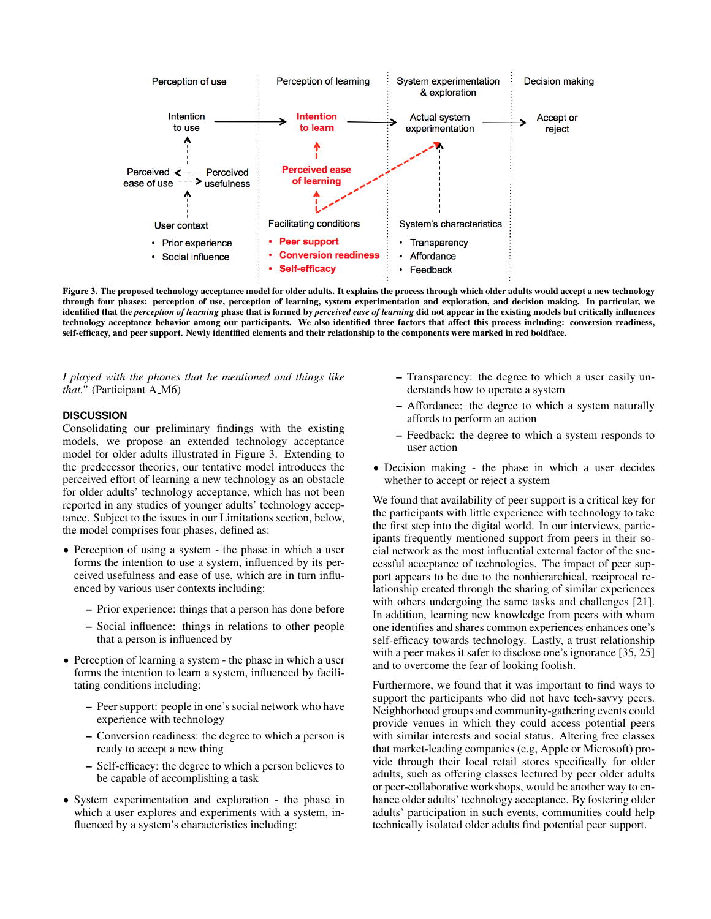

<span id="page-7-0"></span>Figure 3. The proposed technology acceptance model for older adults. It explains the process through which older adults would accept a new technology through four phases: perception of use, perception of learning, system experimentation and exploration, and decision making. In particular, we identified that the *perception of learning* phase that is formed by *perceived ease of learning* did not appear in the existing models but critically influences technology acceptance behavior among our participants. We also identified three factors that affect this process including: conversion readiness, self-efficacy, and peer support. Newly identified elements and their relationship to the components were marked in red boldface.

*I played with the phones that he mentioned and things like that."* (Participant A<sub>M6</sub>)

#### **DISCUSSION**

Consolidating our preliminary findings with the existing models, we propose an extended technology acceptance model for older adults illustrated in Figure [3.](#page-7-0) Extending to the predecessor theories, our tentative model introduces the perceived effort of learning a new technology as an obstacle for older adults' technology acceptance, which has not been reported in any studies of younger adults' technology acceptance. Subject to the issues in our Limitations section, below, the model comprises four phases, defined as:

- Perception of using a system the phase in which a user forms the intention to use a system, influenced by its perceived usefulness and ease of use, which are in turn influenced by various user contexts including:
	- Prior experience: things that a person has done before
	- Social influence: things in relations to other people that a person is influenced by
- Perception of learning a system the phase in which a user forms the intention to learn a system, influenced by facilitating conditions including:
	- Peer support: people in one's social network who have experience with technology
	- Conversion readiness: the degree to which a person is ready to accept a new thing
	- Self-efficacy: the degree to which a person believes to be capable of accomplishing a task
- System experimentation and exploration the phase in which a user explores and experiments with a system, influenced by a system's characteristics including:
- Transparency: the degree to which a user easily understands how to operate a system
- Affordance: the degree to which a system naturally affords to perform an action
- Feedback: the degree to which a system responds to user action
- Decision making the phase in which a user decides whether to accept or reject a system

We found that availability of peer support is a critical key for the participants with little experience with technology to take the first step into the digital world. In our interviews, participants frequently mentioned support from peers in their social network as the most influential external factor of the successful acceptance of technologies. The impact of peer support appears to be due to the nonhierarchical, reciprocal relationship created through the sharing of similar experiences with others undergoing the same tasks and challenges [\[21\]](#page-9-23). In addition, learning new knowledge from peers with whom one identifies and shares common experiences enhances one's self-efficacy towards technology. Lastly, a trust relationship with a peer makes it safer to disclose one's ignorance [\[35,](#page-10-12) [25\]](#page-9-22) and to overcome the fear of looking foolish.

Furthermore, we found that it was important to find ways to support the participants who did not have tech-savvy peers. Neighborhood groups and community-gathering events could provide venues in which they could access potential peers with similar interests and social status. Altering free classes that market-leading companies (e.g, Apple or Microsoft) provide through their local retail stores specifically for older adults, such as offering classes lectured by peer older adults or peer-collaborative workshops, would be another way to enhance older adults' technology acceptance. By fostering older adults' participation in such events, communities could help technically isolated older adults find potential peer support.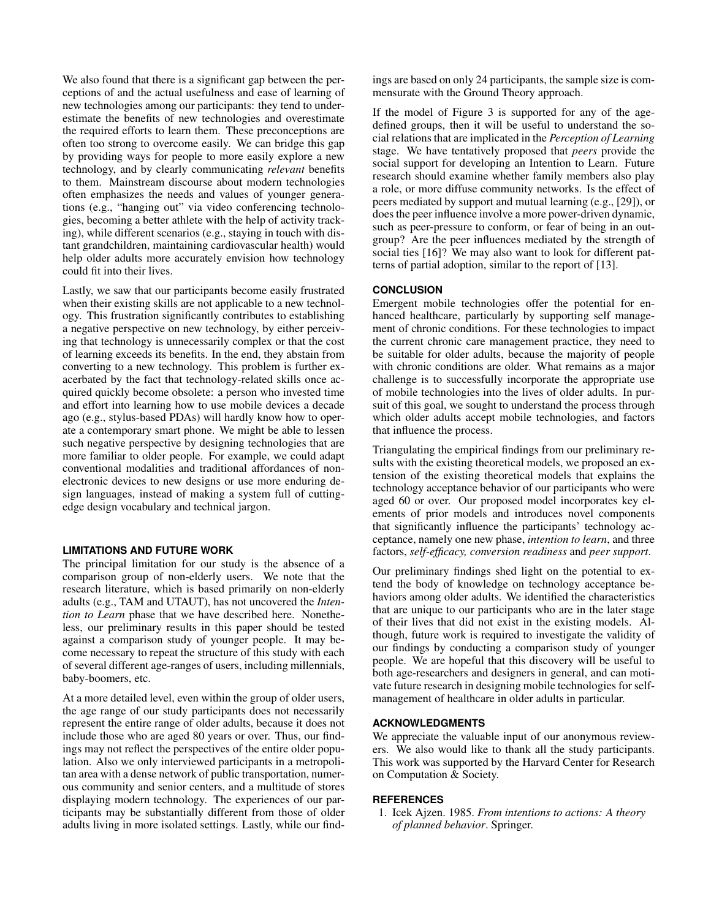We also found that there is a significant gap between the perceptions of and the actual usefulness and ease of learning of new technologies among our participants: they tend to underestimate the benefits of new technologies and overestimate the required efforts to learn them. These preconceptions are often too strong to overcome easily. We can bridge this gap by providing ways for people to more easily explore a new technology, and by clearly communicating *relevant* benefits to them. Mainstream discourse about modern technologies often emphasizes the needs and values of younger generations (e.g., "hanging out" via video conferencing technologies, becoming a better athlete with the help of activity tracking), while different scenarios (e.g., staying in touch with distant grandchildren, maintaining cardiovascular health) would help older adults more accurately envision how technology could fit into their lives.

Lastly, we saw that our participants become easily frustrated when their existing skills are not applicable to a new technology. This frustration significantly contributes to establishing a negative perspective on new technology, by either perceiving that technology is unnecessarily complex or that the cost of learning exceeds its benefits. In the end, they abstain from converting to a new technology. This problem is further exacerbated by the fact that technology-related skills once acquired quickly become obsolete: a person who invested time and effort into learning how to use mobile devices a decade ago (e.g., stylus-based PDAs) will hardly know how to operate a contemporary smart phone. We might be able to lessen such negative perspective by designing technologies that are more familiar to older people. For example, we could adapt conventional modalities and traditional affordances of nonelectronic devices to new designs or use more enduring design languages, instead of making a system full of cuttingedge design vocabulary and technical jargon.

#### **LIMITATIONS AND FUTURE WORK**

The principal limitation for our study is the absence of a comparison group of non-elderly users. We note that the research literature, which is based primarily on non-elderly adults (e.g., TAM and UTAUT), has not uncovered the *Intention to Learn* phase that we have described here. Nonetheless, our preliminary results in this paper should be tested against a comparison study of younger people. It may become necessary to repeat the structure of this study with each of several different age-ranges of users, including millennials, baby-boomers, etc.

At a more detailed level, even within the group of older users, the age range of our study participants does not necessarily represent the entire range of older adults, because it does not include those who are aged 80 years or over. Thus, our findings may not reflect the perspectives of the entire older population. Also we only interviewed participants in a metropolitan area with a dense network of public transportation, numerous community and senior centers, and a multitude of stores displaying modern technology. The experiences of our participants may be substantially different from those of older adults living in more isolated settings. Lastly, while our findings are based on only 24 participants, the sample size is commensurate with the Ground Theory approach.

If the model of Figure [3](#page-7-0) is supported for any of the agedefined groups, then it will be useful to understand the social relations that are implicated in the *Perception of Learning* stage. We have tentatively proposed that *peers* provide the social support for developing an Intention to Learn. Future research should examine whether family members also play a role, or more diffuse community networks. Is the effect of peers mediated by support and mutual learning (e.g., [\[29\]](#page-10-13)), or does the peer influence involve a more power-driven dynamic, such as peer-pressure to conform, or fear of being in an outgroup? Are the peer influences mediated by the strength of social ties [\[16\]](#page-9-24)? We may also want to look for different patterns of partial adoption, similar to the report of [\[13\]](#page-9-25).

## **CONCLUSION**

Emergent mobile technologies offer the potential for enhanced healthcare, particularly by supporting self management of chronic conditions. For these technologies to impact the current chronic care management practice, they need to be suitable for older adults, because the majority of people with chronic conditions are older. What remains as a major challenge is to successfully incorporate the appropriate use of mobile technologies into the lives of older adults. In pursuit of this goal, we sought to understand the process through which older adults accept mobile technologies, and factors that influence the process.

Triangulating the empirical findings from our preliminary results with the existing theoretical models, we proposed an extension of the existing theoretical models that explains the technology acceptance behavior of our participants who were aged 60 or over. Our proposed model incorporates key elements of prior models and introduces novel components that significantly influence the participants' technology acceptance, namely one new phase, *intention to learn*, and three factors, *self-efficacy, conversion readiness* and *peer support*.

Our preliminary findings shed light on the potential to extend the body of knowledge on technology acceptance behaviors among older adults. We identified the characteristics that are unique to our participants who are in the later stage of their lives that did not exist in the existing models. Although, future work is required to investigate the validity of our findings by conducting a comparison study of younger people. We are hopeful that this discovery will be useful to both age-researchers and designers in general, and can motivate future research in designing mobile technologies for selfmanagement of healthcare in older adults in particular.

#### **ACKNOWLEDGMENTS**

We appreciate the valuable input of our anonymous reviewers. We also would like to thank all the study participants. This work was supported by the Harvard Center for Research on Computation & Society.

#### <span id="page-8-0"></span>**REFERENCES**

1. Icek Ajzen. 1985. *From intentions to actions: A theory of planned behavior*. Springer.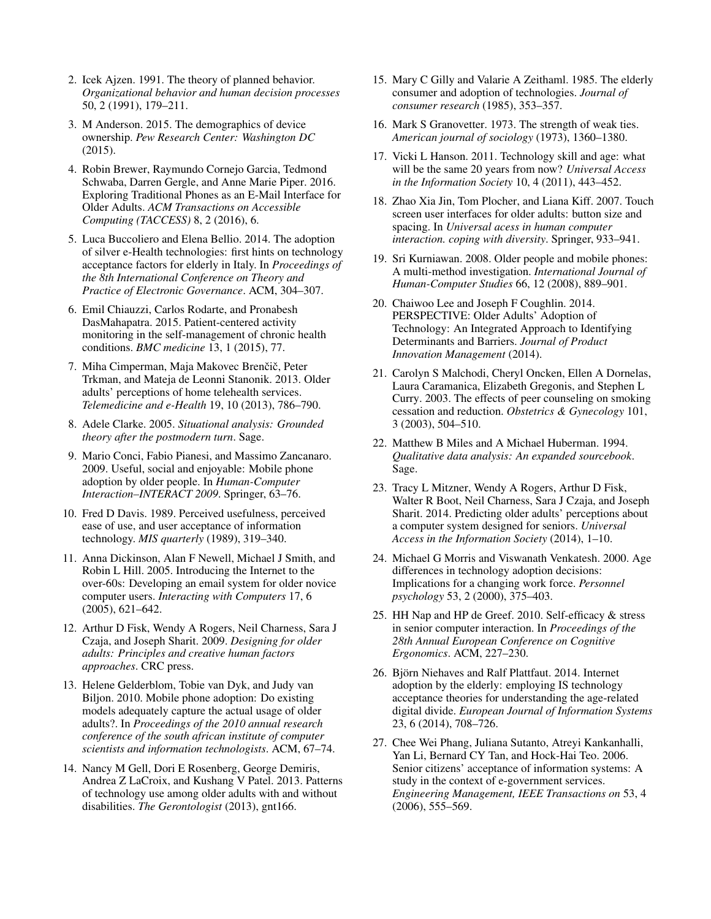- <span id="page-9-5"></span>2. Icek Ajzen. 1991. The theory of planned behavior. *Organizational behavior and human decision processes* 50, 2 (1991), 179–211.
- <span id="page-9-2"></span>3. M Anderson. 2015. The demographics of device ownership. *Pew Research Center: Washington DC* (2015).
- <span id="page-9-18"></span>4. Robin Brewer, Raymundo Cornejo Garcia, Tedmond Schwaba, Darren Gergle, and Anne Marie Piper. 2016. Exploring Traditional Phones as an E-Mail Interface for Older Adults. *ACM Transactions on Accessible Computing (TACCESS)* 8, 2 (2016), 6.
- <span id="page-9-1"></span>5. Luca Buccoliero and Elena Bellio. 2014. The adoption of silver e-Health technologies: first hints on technology acceptance factors for elderly in Italy. In *Proceedings of the 8th International Conference on Theory and Practice of Electronic Governance*. ACM, 304–307.
- <span id="page-9-0"></span>6. Emil Chiauzzi, Carlos Rodarte, and Pronabesh DasMahapatra. 2015. Patient-centered activity monitoring in the self-management of chronic health conditions. *BMC medicine* 13, 1 (2015), 77.
- <span id="page-9-11"></span>7. Miha Cimperman, Maja Makovec Brenčič, Peter Trkman, and Mateja de Leonni Stanonik. 2013. Older adults' perceptions of home telehealth services. *Telemedicine and e-Health* 19, 10 (2013), 786–790.
- <span id="page-9-20"></span>8. Adele Clarke. 2005. *Situational analysis: Grounded theory after the postmodern turn*. Sage.
- <span id="page-9-7"></span>9. Mario Conci, Fabio Pianesi, and Massimo Zancanaro. 2009. Useful, social and enjoyable: Mobile phone adoption by older people. In *Human-Computer Interaction–INTERACT 2009*. Springer, 63–76.
- <span id="page-9-4"></span>10. Fred D Davis. 1989. Perceived usefulness, perceived ease of use, and user acceptance of information technology. *MIS quarterly* (1989), 319–340.
- <span id="page-9-17"></span>11. Anna Dickinson, Alan F Newell, Michael J Smith, and Robin L Hill. 2005. Introducing the Internet to the over-60s: Developing an email system for older novice computer users. *Interacting with Computers* 17, 6 (2005), 621–642.
- <span id="page-9-19"></span>12. Arthur D Fisk, Wendy A Rogers, Neil Charness, Sara J Czaja, and Joseph Sharit. 2009. *Designing for older adults: Principles and creative human factors approaches*. CRC press.
- <span id="page-9-25"></span>13. Helene Gelderblom, Tobie van Dyk, and Judy van Biljon. 2010. Mobile phone adoption: Do existing models adequately capture the actual usage of older adults?. In *Proceedings of the 2010 annual research conference of the south african institute of computer scientists and information technologists*. ACM, 67–74.
- <span id="page-9-10"></span>14. Nancy M Gell, Dori E Rosenberg, George Demiris, Andrea Z LaCroix, and Kushang V Patel. 2013. Patterns of technology use among older adults with and without disabilities. *The Gerontologist* (2013), gnt166.
- <span id="page-9-13"></span>15. Mary C Gilly and Valarie A Zeithaml. 1985. The elderly consumer and adoption of technologies. *Journal of consumer research* (1985), 353–357.
- <span id="page-9-24"></span>16. Mark S Granovetter. 1973. The strength of weak ties. *American journal of sociology* (1973), 1360–1380.
- <span id="page-9-3"></span>17. Vicki L Hanson. 2011. Technology skill and age: what will be the same 20 years from now? *Universal Access in the Information Society* 10, 4 (2011), 443–452.
- <span id="page-9-16"></span>18. Zhao Xia Jin, Tom Plocher, and Liana Kiff. 2007. Touch screen user interfaces for older adults: button size and spacing. In *Universal acess in human computer interaction. coping with diversity*. Springer, 933–941.
- <span id="page-9-14"></span>19. Sri Kurniawan. 2008. Older people and mobile phones: A multi-method investigation. *International Journal of Human-Computer Studies* 66, 12 (2008), 889–901.
- <span id="page-9-15"></span>20. Chaiwoo Lee and Joseph F Coughlin. 2014. PERSPECTIVE: Older Adults' Adoption of Technology: An Integrated Approach to Identifying Determinants and Barriers. *Journal of Product Innovation Management* (2014).
- <span id="page-9-23"></span>21. Carolyn S Malchodi, Cheryl Oncken, Ellen A Dornelas, Laura Caramanica, Elizabeth Gregonis, and Stephen L Curry. 2003. The effects of peer counseling on smoking cessation and reduction. *Obstetrics & Gynecology* 101, 3 (2003), 504–510.
- <span id="page-9-21"></span>22. Matthew B Miles and A Michael Huberman. 1994. *Qualitative data analysis: An expanded sourcebook*. Sage.
- <span id="page-9-6"></span>23. Tracy L Mitzner, Wendy A Rogers, Arthur D Fisk, Walter R Boot, Neil Charness, Sara J Czaja, and Joseph Sharit. 2014. Predicting older adults' perceptions about a computer system designed for seniors. *Universal Access in the Information Society* (2014), 1–10.
- <span id="page-9-12"></span>24. Michael G Morris and Viswanath Venkatesh. 2000. Age differences in technology adoption decisions: Implications for a changing work force. *Personnel psychology* 53, 2 (2000), 375–403.
- <span id="page-9-22"></span>25. HH Nap and HP de Greef. 2010. Self-efficacy & stress in senior computer interaction. In *Proceedings of the 28th Annual European Conference on Cognitive Ergonomics*. ACM, 227–230.
- <span id="page-9-8"></span>26. Björn Niehaves and Ralf Plattfaut. 2014. Internet adoption by the elderly: employing IS technology acceptance theories for understanding the age-related digital divide. *European Journal of Information Systems* 23, 6 (2014), 708–726.
- <span id="page-9-9"></span>27. Chee Wei Phang, Juliana Sutanto, Atreyi Kankanhalli, Yan Li, Bernard CY Tan, and Hock-Hai Teo. 2006. Senior citizens' acceptance of information systems: A study in the context of e-government services. *Engineering Management, IEEE Transactions on* 53, 4 (2006), 555–569.